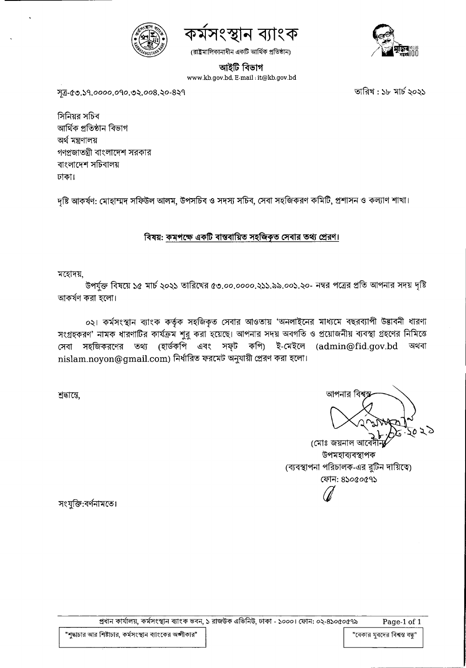



(রাষ্ট্রমালিকানাধীন একটি আর্থিক প্রতিষ্ঠান)



আইটি বিভাগ

www.kb.gov.bd, E-mail:it@kb.gov.bd

সূত্র-৫৩.১৭.০০০০.০৭০.৩২.০০৪.২০-৪২৭

তারিখ : ১৮ মার্চ ২০২১

সিনিয়র সচিব আৰ্থিক প্ৰতিষ্ঠান বিভাগ অৰ্থ মন্ত্ৰণালয় গণপ্রজাতন্ত্রী বাংলাদেশ সরকার বাংলাদেশ সচিবালয় ঢাকা।

দৃষ্টি আকর্ষণ: মোহাম্মদ সফিউল আলম, উপসচিব ও সদস্য সচিব, সেবা সহজিকরণ কমিটি, প্রশাসন ও কল্যাণ শাখা।

## বিষয়: কমপক্ষে একটি বাস্তবায়িত সহজিকৃত সেবার তথ্য প্রেরণ।

মহোদয়,

উপর্যুক্ত বিষয়ে ১৫ মার্চ ২০২১ তারিখের ৫৩.০০.০০০০.২১১.৯৯.০০১.২০- নম্বর পত্রের প্রতি আপনার সদয় দৃষ্টি আকৰ্ষণ করা হলো।

০২। কর্মসংস্থান ব্যাংক কর্তৃক সহজিকৃত সেবার আওতায় 'অনলাইনের মাধ্যমে বছরব্যাপী উদ্ভাবনী ধারণা সংগ্রহকরণ' নামক ধারণাটির কার্যক্রম শুরু করা হয়েছে। আপনার সদয় অবগতি ও প্রয়োজনীয় ব্যবস্থা গ্রহণের নিমিত্তে সেবা সহজিকরণের তথ্য (হার্ডকপি এবং সফ্ট কপি) ই-মেইলে (admin@fid.gov.bd অথবা nislam.noyon@gmail.com) নিৰ্ধারিত ফরমেট অনুযায়ী প্রেরণ করা হলো।

প্রধান কার্যালয়, কর্মসংস্থান ব্যাংক ভবন, ১ রাজউক এভিনিউ, ঢাকা - ১০০০। ফোন: ০২-৪১০৫০৫৭৯

শ্ৰদ্ধান্তে,

আপনার বিশ

(মোঃ জয়নাল আবেদী-উপমহাব্যবস্থাপক (ব্যবস্থাপনা পরিচালক-এর রুটিন দায়িত্বে) ফোন: ৪১০৫০৫৭১

সংযুক্তি:বর্ণনামতে।

"বেকার যুবদের বিশ্বস্ত বন্ধু"

"শুদ্ধাচার আর শিষ্টাচার, কর্মসংস্থান ব্যাংকের অঙ্গীকার"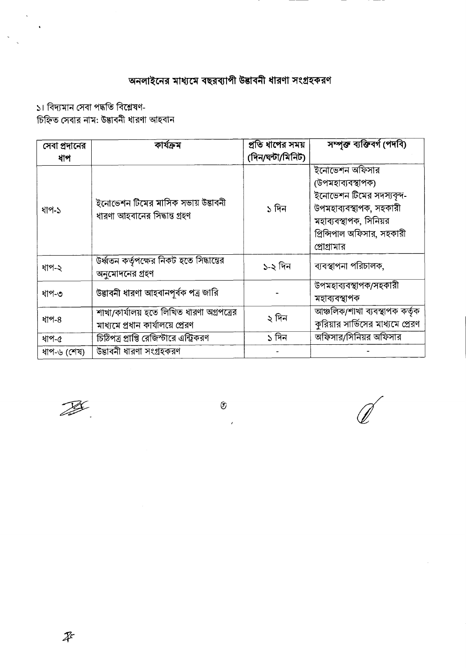## অনলাইনের মাধ্যমে বছরব্যাপী উদ্ভাবনী ধারণা সংগ্রহকরণ

১। বিদ্যমান সেবা পদ্ধতি বিশ্লেষণ-

 $\ddot{\phantom{a}}$ 

 $\ddot{\downarrow}$ 

 $\hat{\mathbf{v}}$ 

চিহ্নিত সেবার নাম: উদ্ভাবনী ধারণা আহবান

| সেবা প্রদানের | কাৰ্যক্ৰম                                                                     | প্রতি ধাপের সময়  | সম্পক্ত ব্যক্তিবৰ্গ (পদবি)                                                                                                                                         |
|---------------|-------------------------------------------------------------------------------|-------------------|--------------------------------------------------------------------------------------------------------------------------------------------------------------------|
| ধাপ           |                                                                               | (দিন/ঘন্টা/মিনিট) |                                                                                                                                                                    |
| ধাপ-১         | ইনোভেশন টিমের মাসিক সভায় উদ্ভাবনী<br>ধারণা আহবানের সিদ্ধান্ত গ্রহণ           | ১ দিন             | ইনোভেশন অফিসার<br>(উপমহাব্যবস্থাপক)<br>ইনোভেশন টিমের সদস্যবৃন্দ-<br>উপমহাব্যবস্থাপক, সহকারী<br>মহাব্যবস্থাপক, সিনিয়র<br>প্রিন্সিপাল অফিসার, সহকারী<br>প্রোগ্রামার |
| ধাপ-২         | উৰ্ধ্বতন কৰ্তৃপক্ষের নিকট হতে সিদ্ধান্তের<br>অনুমোদনের গ্রহণ                  | ১-২ দিন           | ব্যবস্থাপনা পরিচালক,                                                                                                                                               |
| ধাপ-৩         | উদ্ভাবনী ধারণা আহবানপূর্বক পত্র জারি                                          |                   | উপমহাব্যবস্থাপক/সহকারী<br>মহাব্যবস্থাপক                                                                                                                            |
| ধাপ-8         | শাখা/কার্যালয় হতে লিখিত ধারণা অগ্রপত্রের<br>মাধ্যমে প্রধান কার্যালয়ে প্রেরণ | ২ দিন             | আঞ্চলিক/শাখা ব্যবস্থাপক কর্তৃক<br>কুরিয়ার সার্ভিসের মাধ্যমে প্রেরণ                                                                                                |
| ধাপ-৫         | চিঠিপত্র প্রাপ্তি রেজিস্টারে এন্ট্রিকরণ                                       | ১ দিন             | অফিসার/সিনিয়র অফিসার                                                                                                                                              |
| ধাপ-৬ (শেষ)   | উদ্ভাবনী ধারণা সংগ্রহকরণ                                                      |                   |                                                                                                                                                                    |

 $^{\circledR}$ 

 $\mathcal{L}^{\mathcal{L}}$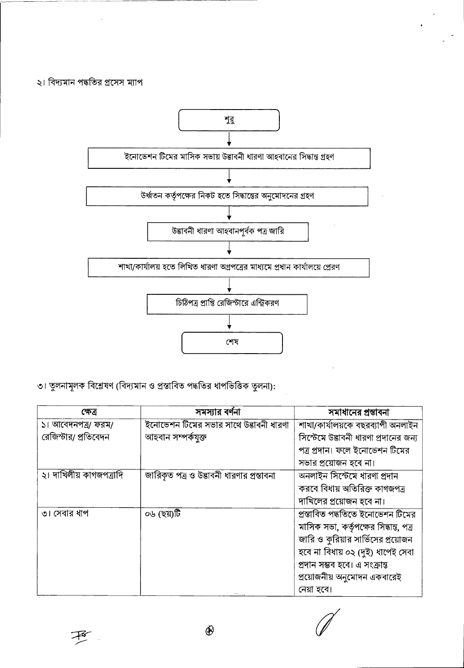## ২। বিদ্যমান পদ্ধতির প্রসেস ম্যাপ



৩। তুলনামূলক বিশ্লেষণ (বিদ্যমান ও প্রস্তাবিত পদ্ধতির ধাপভিত্তিক তুলনা):

| ক্ষেত্ৰ                 | সমস্যার বর্ণনা                            | সমাধানের প্রস্তাবনা                    |
|-------------------------|-------------------------------------------|----------------------------------------|
| ১। আবেদনপত্র/ ফরম/      | ইনোভেশন টিমের সভার সাথে উদ্ভাবনী ধারণা    | শাখা/কাৰ্যালয়কে বছরব্যাপী অনলাইন      |
| রেজিস্টার/ প্রতিবেদন    | আহবান সম্পৰ্কযুক্ত                        | সিস্টেমে উদ্ভাবনী ধারণা প্রদানের জন্য  |
|                         |                                           | পত্র প্রদান। ফলে ইনোভেশন টিমের         |
|                         |                                           | সভার প্রয়োজন হবে না।                  |
| ২। দাখিলীয় কাগজপত্রাদি | জারিকৃত পত্র ও উদ্ভাবনী ধারণার প্রস্তাবনা | অনলাইন সিস্টেমে ধারণা প্রদান           |
|                         |                                           | করবে বিধায় অতিরিক্ত কাগজপত্র          |
|                         |                                           | দাখিলের প্রয়োজন হবে না।               |
| ৩। সেবার ধাপ            | ০৬ (ছয়)টি                                | প্রস্তাবিত পদ্ধতিতে ইনোভেশন টিমের      |
|                         |                                           | মাসিক সভা, কর্তৃপক্ষের সিদ্ধান্ত, পত্র |
|                         |                                           | জারি ও কুরিয়ার সার্ভিসের প্রয়োজন     |
|                         |                                           | হবে না বিধায় ০২ (দুই) ধাপেই সেবা      |
|                         |                                           | প্ৰদান সম্ভব হবে। এ সংক্ৰান্ত          |
|                         |                                           | প্রয়োজনীয় অনুমোদন একবারেই            |
|                         |                                           | নেয়া হবে।                             |

 $^{\circledR}$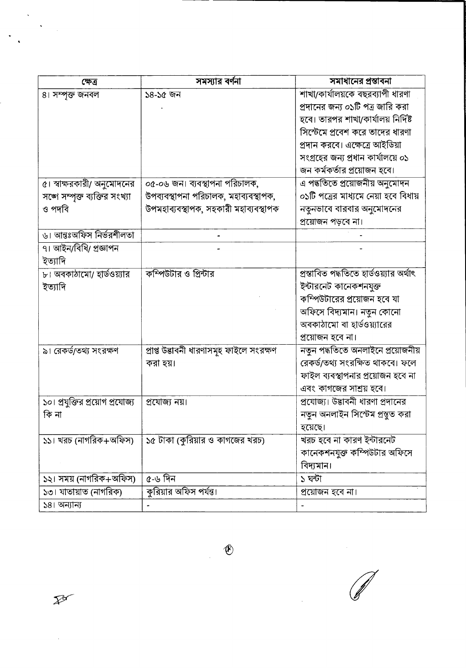| ক্ষেত্ৰ                         | সমস্যার বর্ণনা                           | সমাধানের প্রস্তাবনা                     |
|---------------------------------|------------------------------------------|-----------------------------------------|
| ৪। সম্পৃক্ত জনবল                | ১৪-১৫ জন                                 | শাখা/কার্যালয়কে বছরব্যাপী ধারণা        |
|                                 |                                          | প্রদানের জন্য ০১টি পত্র জারি করা        |
|                                 |                                          | হবে। তারপর শাখা/কার্যালয় নির্দিষ্ট     |
|                                 |                                          | সিস্টেমে প্রবেশ করে তাদের ধারণা         |
|                                 |                                          | প্রদান করবে। এক্ষেত্রে আইডিয়া          |
|                                 |                                          | সংগ্ৰহের জন্য প্রধান কার্যালয়ে ০১      |
|                                 |                                          | জন কর্মকর্তার প্রয়োজন হবে।             |
| ৫। স্বাক্ষরকারী/ অনুমোদনের      | ০৫-০৬ জন। ব্যবস্থাপনা পরিচালক,           | এ পদ্ধতিতে প্রয়োজনীয় অনুমোদন          |
| সঙ্গে সম্পুক্ত ব্যক্তির সংখ্যা  | উপব্যবস্থাপনা পরিচালক, মহাব্যবস্থাপক,    | ০১টি পত্রের মাধ্যমে নেয়া হবে বিধায়    |
| ও পদবি                          | উপমহাব্যবস্থাপক, সহকারী মহাব্যবস্থাপক    | নতুনভাবে বারবার অনুমোদনের               |
|                                 |                                          | প্রয়োজন পড়বে না।                      |
| ৬। আন্তঃঅফিস নির্ভরশীলতা        |                                          |                                         |
| ৭। আইন/বিধি/ প্রজ্ঞাপন          |                                          |                                         |
| ইত্যাদি                         |                                          |                                         |
| ৮। অবকাঠামো/ হার্ডওয়্যার       | কম্পিউটার ও প্রিন্টার                    | প্রস্তাবিত পদ্ধতিতে হার্ডওয়্যার অর্থাৎ |
| ইত্যাদি                         |                                          | ইন্টারনেট কানেকশনযুক্ত                  |
|                                 |                                          | কম্পিউটারের প্রয়োজন হবে যা             |
|                                 |                                          | অফিসে বিদ্যমান। নতুন কোনো               |
|                                 |                                          | অবকাঠামো বা হার্ডওয়্যারের              |
|                                 |                                          | প্রয়োজন হবে না।                        |
| ৯। রেকর্ড/তথ্য সংরক্ষণ          | প্ৰাপ্ত উদ্ভাবনী ধারণাসমূহ ফাইলে সংরক্ষণ | নতুন পদ্ধতিতে অনলাইনে প্রয়োজনীয়       |
|                                 | করা হয়।                                 | রেকর্ড/তথ্য সংরক্ষিত থাকবে। ফলে         |
|                                 |                                          | ফাইল ব্যবস্থাপনার প্রয়োজন হবে না       |
|                                 |                                          | এবং কাগজের সাশ্রয় হবে।                 |
| ১০। প্রযুক্তির প্রয়োগ প্রযোজ্য | প্ৰযোজ্য নয়।                            | প্রযোজ্য। উদ্ভাবনী ধারণা প্রদানের       |
| কি না                           |                                          | নতুন অনলাইন সিস্টেম প্রস্তুত করা        |
|                                 |                                          | হয়েছে।                                 |
| ১১। খরচ (নাগরিক+অফিস)           | ১৫ টাকা (কুরিয়ার ও কাগজের খরচ)          | খরচ হবে না কারণ ইন্টারনেট               |
|                                 |                                          | কানেকশনযুক্ত কম্পিউটার অফিসে            |
|                                 |                                          | বিদ্যমান।                               |
| ১২। সময় (নাগরিক+অফিস)          | ৫-৬ দিন                                  | ১ ঘন্টা                                 |
| ১৩। যাতায়াত (নাগরিক)           | কুরিয়ার অফিস পর্যন্ত।                   | প্রয়োজন হবে না।                        |
| ১৪। অন্যান্য                    |                                          |                                         |

 $\mathbb{Z}$ 

 $\hat{\mathcal{A}}$ 

 $\hat{\mathcal{A}}$ 

 $\ddot{\phantom{a}}$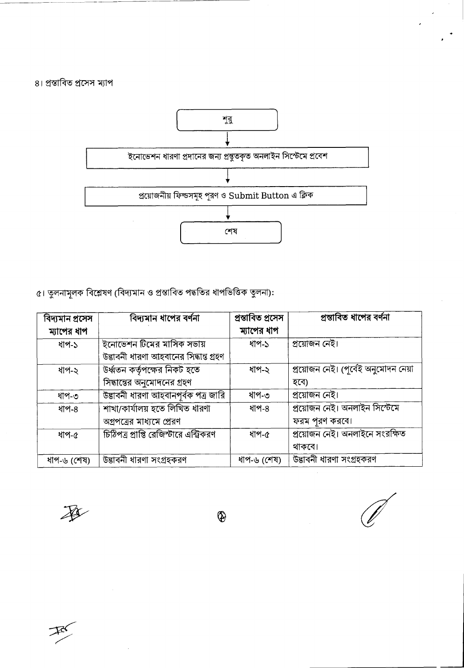৪। প্রস্তাবিত প্রসেস ম্যাপ



৫। তুলনামূলক বিশ্লেষণ (বিদ্যমান ও প্রস্তাবিত পদ্ধতির ধাপভিত্তিক তুলনা):

| বিদ্যমান প্ৰসেস | বিদ্যমান ধাপের বর্ণনা                   | প্ৰস্তাবিত প্ৰসেস | প্রস্তাবিত ধাপের বর্ণনা              |
|-----------------|-----------------------------------------|-------------------|--------------------------------------|
| ম্যাপের ধাপ     |                                         | ম্যাপের ধাপ       |                                      |
| ধাপ-১           | ইনোভেশন টিমের মাসিক সভায়               | ধাপ-১             | প্ৰয়োজন নেই।                        |
|                 | উদ্ভাবনী ধারণা আহবানের সিদ্ধান্ত গ্রহণ  |                   |                                      |
| ধাপ-২           | উৰ্ধ্বতন কৰ্তৃপক্ষের নিকট হতে           | ধাপ-২             | প্রয়োজন নেই। (পূর্বেই অনুমোদন নেয়া |
|                 | সিদ্ধান্তের অনুমোদনের গ্রহণ             |                   | হবে)                                 |
| ধাপ-৩           | উদ্ভাবনী ধারণা আহবানপূর্বক পত্র জারি    | ধাপ-৩             | প্রয়োজন নেই।                        |
| ধাপ-৪           | শাখা/কার্যালয় হতে লিখিত ধারণা          | ধাপ-৪             | প্ৰয়োজন নেই। অনলাইন সিস্টেমে        |
|                 | অগ্রপত্রের মাধ্যমে প্রেরণ               |                   | ফরম পুরণ করবে।                       |
| ধাপ-৫           | চিঠিপত্র প্রাপ্তি রেজিস্টারে এন্ট্রিকরণ | ধাপ-৫             | প্রয়োজন নেই। অনলাইনে সংরক্ষিত       |
|                 |                                         |                   | থাকবে।                               |
| ধাপ-৬ (শেষ)     | উদ্ভাবনী ধারণা সংগ্রহকরণ                | ধাপ-৬ (শেষ)       | উদ্ভাবনী ধারণা সংগ্রহকরণ             |

承

 $\bigcirc$ 

 $\mathcal{F}$